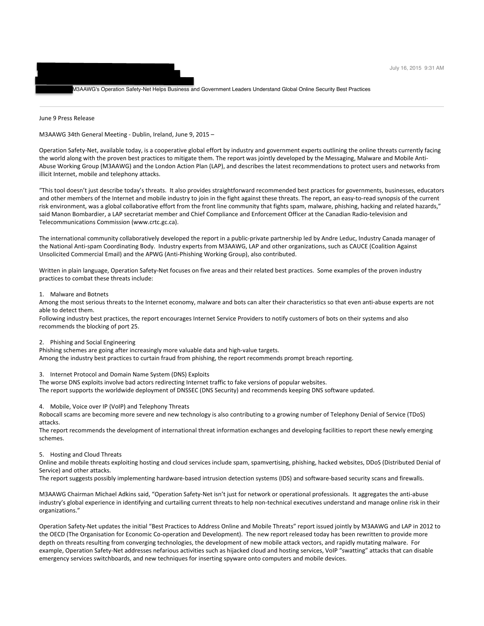M3AAWG's Operation Safety-Net Helps Business and Government Leaders Understand Global Online Security Best Practices

June 9 Press Release

M3AAWG 34th General Meeting - Dublin, Ireland, June 9, 2015 –

"Freeman, D. Reed. Freeman, D. Reed. Freeman, D. Reed.  $T$ o: "James Campbell"  $\mathcal{L}$  and  $\mathcal{L}$  and  $\mathcal{L}$  are  $\mathcal{L}$  and  $\mathcal{L}$ Cc: "ESPC-Board@listbox.com" <ESPC-Board@listbox.com>

Operation Safety-Net, available today, is a cooperative global effort by industry and government experts outlining the online threats currently facing the world along with the proven best practices to mitigate them. The report was jointly developed by the Messaging, Malware and Mobile Anti-Abuse Working Group (M3AAWG) and the London Action Plan (LAP), and describes the latest recommendations to protect users and networks from illicit Internet, mobile and telephony attacks.

"This tool doesn't just describe today's threats. It also provides straightforward recommended best practices for governments, businesses, educators and other members of the Internet and mobile industry to join in the fight against these threats. The report, an easy-to-read synopsis of the current risk environment, was a global collaborative effort from the front line community that fights spam, malware, phishing, hacking and related hazards," said Manon Bombardier, a LAP secretariat member and Chief Compliance and Enforcement Officer at the Canadian Radio-television and Telecommunications Commission (www.crtc.gc.ca).

The international community collaboratively developed the report in a public-private partnership led by Andre Leduc, Industry Canada manager of the National Anti-spam Coordinating Body. Industry experts from M3AAWG, LAP and other organizations, such as CAUCE (Coalition Against Unsolicited Commercial Email) and the APWG (Anti-Phishing Working Group), also contributed.

Written in plain language, Operation Safety-Net focuses on five areas and their related best practices. Some examples of the proven industry practices to combat these threats include:

1. Malware and Botnets

Among the most serious threats to the Internet economy, malware and bots can alter their characteristics so that even anti-abuse experts are not able to detect them.

Following industry best practices, the report encourages Internet Service Providers to notify customers of bots on their systems and also recommends the blocking of port 25.

2. Phishing and Social Engineering

Phishing schemes are going after increasingly more valuable data and high-value targets. Among the industry best practices to curtain fraud from phishing, the report recommends prompt breach reporting.

3. Internet Protocol and Domain Name System (DNS) Exploits

The worse DNS exploits involve bad actors redirecting Internet traffic to fake versions of popular websites.

The report supports the worldwide deployment of DNSSEC (DNS Security) and recommends keeping DNS software updated.

4. Mobile, Voice over IP (VoIP) and Telephony Threats

Robocall scams are becoming more severe and new technology is also contributing to a growing number of Telephony Denial of Service (TDoS) attacks.

The report recommends the development of international threat information exchanges and developing facilities to report these newly emerging schemes.

5. Hosting and Cloud Threats

Online and mobile threats exploiting hosting and cloud services include spam, spamvertising, phishing, hacked websites, DDoS (Distributed Denial of Service) and other attacks.

The report suggests possibly implementing hardware-based intrusion detection systems (IDS) and software-based security scans and firewalls.

M3AAWG Chairman Michael Adkins said, "Operation Safety-Net isn't just for network or operational professionals. It aggregates the anti-abuse industry's global experience in identifying and curtailing current threats to help non-technical executives understand and manage online risk in their organizations."

Operation Safety-Net updates the initial "Best Practices to Address Online and Mobile Threats" report issued jointly by M3AAWG and LAP in 2012 to the OECD (The Organisation for Economic Co-operation and Development). The new report released today has been rewritten to provide more depth on threats resulting from converging technologies, the development of new mobile attack vectors, and rapidly mutating malware. For example, Operation Safety-Net addresses nefarious activities such as hijacked cloud and hosting services, VoIP "swatting" attacks that can disable emergency services switchboards, and new techniques for inserting spyware onto computers and mobile devices.